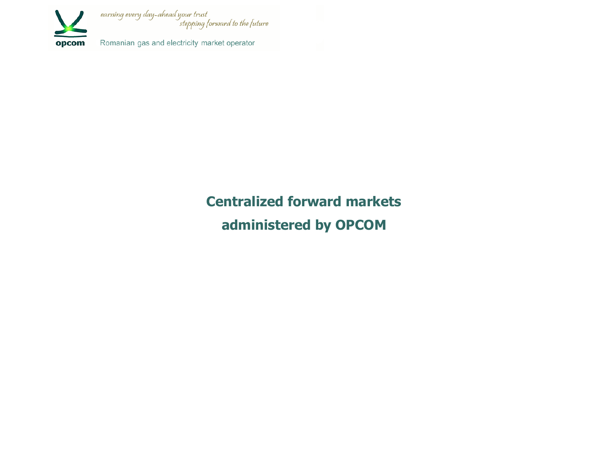

**Centralized forward markets administered by OPCOM**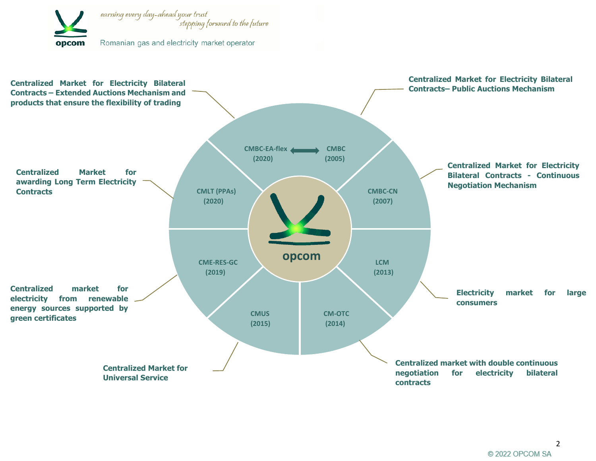

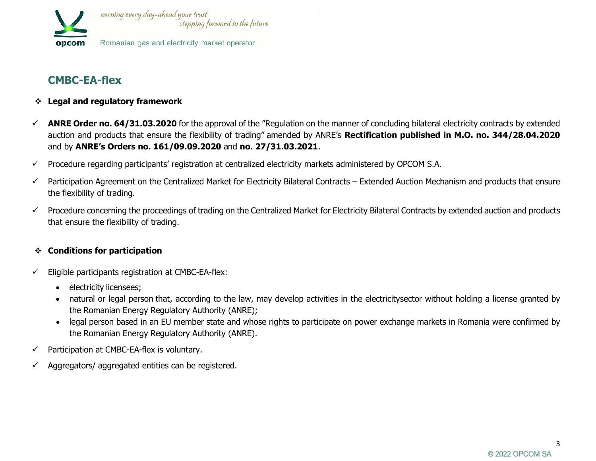

# **CMBC-EA-flex**

- ❖ **Legal and regulatory framework**
- ✓ **ANRE Order no. 64/31.03.2020** for the approval of the "Regulation on the manner of concluding bilateral electricity contracts by extended auction and products that ensure the flexibility of trading" amended by ANRE's **Rectification published in M.O. no. 344/28.04.2020** and by **ANRE's Orders no. 161/09.09.2020** and **no. 27/31.03.2021**.
- $\checkmark$  Procedure regarding participants' registration at centralized electricity markets administered by OPCOM S.A.
- ✓ Participation Agreement on the Centralized Market for Electricity Bilateral Contracts Extended Auction Mechanism and products that ensure the flexibility of trading.
- ✓ Procedure concerning the proceedings of trading on the Centralized Market for Electricity Bilateral Contracts by extended auction and products that ensure the flexibility of trading.

#### ❖ **Conditions for participation**

- Eligible participants registration at CMBC-EA-flex:
	- electricity licensees;
	- natural or legal person that, according to the law, may develop activities in the electricitysector without holding a license granted by the Romanian Energy Regulatory Authority (ANRE);
	- legal person based in an EU member state and whose rights to participate on power exchange markets in Romania were confirmed by the Romanian Energy Regulatory Authority (ANRE).
- $\checkmark$  Participation at CMBC-EA-flex is voluntary.
- Aggregators/ aggregated entities can be registered.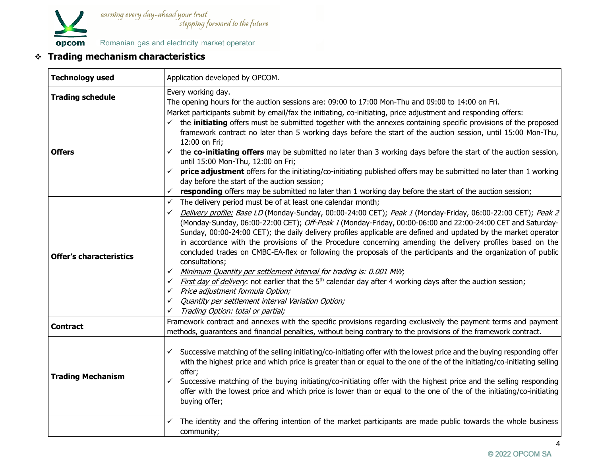

| <b>Technology used</b>         | Application developed by OPCOM.                                                                                                                                                                                                                                                                                                                                                                                                                                                                                                                                                                                                                                                                                                                                                                                                                                                                                                                                                                                                                                                 |  |  |
|--------------------------------|---------------------------------------------------------------------------------------------------------------------------------------------------------------------------------------------------------------------------------------------------------------------------------------------------------------------------------------------------------------------------------------------------------------------------------------------------------------------------------------------------------------------------------------------------------------------------------------------------------------------------------------------------------------------------------------------------------------------------------------------------------------------------------------------------------------------------------------------------------------------------------------------------------------------------------------------------------------------------------------------------------------------------------------------------------------------------------|--|--|
| <b>Trading schedule</b>        | Every working day.<br>The opening hours for the auction sessions are: 09:00 to 17:00 Mon-Thu and 09:00 to 14:00 on Fri.                                                                                                                                                                                                                                                                                                                                                                                                                                                                                                                                                                                                                                                                                                                                                                                                                                                                                                                                                         |  |  |
| <b>Offers</b>                  | Market participants submit by email/fax the initiating, co-initiating, price adjustment and responding offers:<br>$\checkmark$ the <b>initiating</b> offers must be submitted together with the annexes containing specific provisions of the proposed<br>framework contract no later than 5 working days before the start of the auction session, until 15:00 Mon-Thu,<br>12:00 on Fri;<br>$\checkmark$ the co-initiating offers may be submitted no later than 3 working days before the start of the auction session,<br>until 15:00 Mon-Thu, 12:00 on Fri;<br>price adjustment offers for the initiating/co-initiating published offers may be submitted no later than 1 working<br>$\checkmark$<br>day before the start of the auction session;<br>responding offers may be submitted no later than 1 working day before the start of the auction session;<br>✓                                                                                                                                                                                                            |  |  |
| <b>Offer's characteristics</b> | The delivery period must be of at least one calendar month;<br>$\checkmark$<br>Delivery profile: Base LD (Monday-Sunday, 00:00-24:00 CET); Peak 1 (Monday-Friday, 06:00-22:00 CET); Peak 2<br>✓<br>(Monday-Sunday, 06:00-22:00 CET); Off-Peak 1 (Monday-Friday, 00:00-06:00 and 22:00-24:00 CET and Saturday-<br>Sunday, 00:00-24:00 CET); the daily delivery profiles applicable are defined and updated by the market operator<br>in accordance with the provisions of the Procedure concerning amending the delivery profiles based on the<br>concluded trades on CMBC-EA-flex or following the proposals of the participants and the organization of public<br>consultations;<br>Minimum Quantity per settlement interval for trading is: 0.001 MW;<br>$\checkmark$<br><i>First day of delivery</i> : not earlier that the 5 <sup>th</sup> calendar day after 4 working days after the auction session;<br>$\checkmark$<br>Price adjustment formula Option;<br>$\checkmark$<br>Quantity per settlement interval Variation Option;<br>✓<br>Trading Option: total or partial; |  |  |
| <b>Contract</b>                | Framework contract and annexes with the specific provisions regarding exclusively the payment terms and payment<br>methods, guarantees and financial penalties, without being contrary to the provisions of the framework contract.                                                                                                                                                                                                                                                                                                                                                                                                                                                                                                                                                                                                                                                                                                                                                                                                                                             |  |  |
| <b>Trading Mechanism</b>       | Successive matching of the selling initiating/co-initiating offer with the lowest price and the buying responding offer<br>✓<br>with the highest price and which price is greater than or equal to the one of the of the initiating/co-initiating selling<br>offer;<br>Successive matching of the buying initiating/co-initiating offer with the highest price and the selling responding<br>✓<br>offer with the lowest price and which price is lower than or equal to the one of the of the initiating/co-initiating<br>buying offer;                                                                                                                                                                                                                                                                                                                                                                                                                                                                                                                                         |  |  |
|                                | The identity and the offering intention of the market participants are made public towards the whole business<br>community;                                                                                                                                                                                                                                                                                                                                                                                                                                                                                                                                                                                                                                                                                                                                                                                                                                                                                                                                                     |  |  |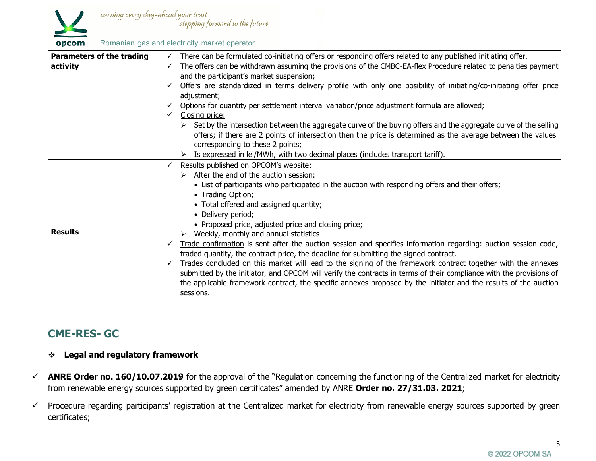

| <b>Parameters of the trading</b> | $\checkmark$ | There can be formulated co-initiating offers or responding offers related to any published initiating offer.                     |
|----------------------------------|--------------|----------------------------------------------------------------------------------------------------------------------------------|
| activity                         |              | The offers can be withdrawn assuming the provisions of the CMBC-EA-flex Procedure related to penalties payment                   |
|                                  |              | and the participant's market suspension;                                                                                         |
|                                  |              | $\checkmark$ Offers are standardized in terms delivery profile with only one posibility of initiating/co-initiating offer price  |
|                                  |              | adjustment;                                                                                                                      |
|                                  |              | Options for quantity per settlement interval variation/price adjustment formula are allowed;                                     |
|                                  |              | Closing price:                                                                                                                   |
|                                  |              | $\triangleright$ Set by the intersection between the aggregate curve of the buying offers and the aggregate curve of the selling |
|                                  |              | offers; if there are 2 points of intersection then the price is determined as the average between the values                     |
|                                  |              | corresponding to these 2 points;                                                                                                 |
|                                  |              | $\triangleright$ Is expressed in lei/MWh, with two decimal places (includes transport tariff).                                   |
|                                  | $\checkmark$ | Results published on OPCOM's website:                                                                                            |
|                                  |              | $\triangleright$ After the end of the auction session:                                                                           |
|                                  |              | • List of participants who participated in the auction with responding offers and their offers;                                  |
|                                  |              | • Trading Option;                                                                                                                |
|                                  |              | • Total offered and assigned quantity;                                                                                           |
|                                  |              | • Delivery period;                                                                                                               |
|                                  |              | • Proposed price, adjusted price and closing price;                                                                              |
| <b>Results</b>                   |              | $\triangleright$ Weekly, monthly and annual statistics                                                                           |
|                                  |              | Trade confirmation is sent after the auction session and specifies information regarding: auction session code,                  |
|                                  |              | traded quantity, the contract price, the deadline for submitting the signed contract.                                            |
|                                  |              | Trades concluded on this market will lead to the signing of the framework contract together with the annexes                     |
|                                  |              | submitted by the initiator, and OPCOM will verify the contracts in terms of their compliance with the provisions of              |
|                                  |              | the applicable framework contract, the specific annexes proposed by the initiator and the results of the auction                 |
|                                  |              | sessions.                                                                                                                        |
|                                  |              |                                                                                                                                  |

# **CME-RES- GC**

## ❖ **Legal and regulatory framework**

- ✓ **ANRE Order no. 160/10.07.2019** for the approval of the "Regulation concerning the functioning of the Centralized market for electricity from renewable energy sources supported by green certificates" amended by ANRE **Order no. 27/31.03. 2021**;
- ✓ Procedure regarding participants' registration at the Centralized market for electricity from renewable energy sources supported by green certificates;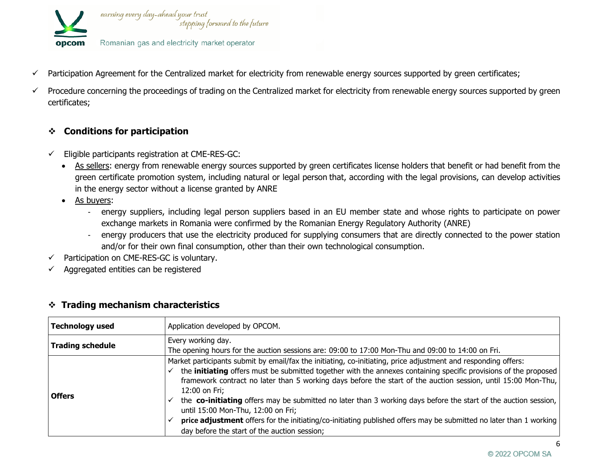

- ✓ Participation Agreement for the Centralized market for electricity from renewable energy sources supported by green certificates;
- ✓ Procedure concerning the proceedings of trading on the Centralized market for electricity from renewable energy sources supported by green certificates;

## ❖ **Conditions for participation**

- $\checkmark$  Eligible participants registration at CME-RES-GC:
	- As sellers: energy from renewable energy sources supported by green certificates license holders that benefit or had benefit from the green certificate promotion system, including natural or legal person that, according with the legal provisions, can develop activities in the energy sector without a license granted by ANRE
	- As buyers:
		- energy suppliers, including legal person suppliers based in an EU member state and whose rights to participate on power exchange markets in Romania were confirmed by the Romanian Energy Regulatory Authority (ANRE)
		- energy producers that use the electricity produced for supplying consumers that are directly connected to the power station and/or for their own final consumption, other than their own technological consumption.
- Participation on CME-RES-GC is voluntary.
- $\checkmark$  Aggregated entities can be registered

| <b>Technology used</b>  | Application developed by OPCOM.                                                                                                                                                                                                                                                                                                                                                                                                                                                                                                                                                                                                                                                                            |
|-------------------------|------------------------------------------------------------------------------------------------------------------------------------------------------------------------------------------------------------------------------------------------------------------------------------------------------------------------------------------------------------------------------------------------------------------------------------------------------------------------------------------------------------------------------------------------------------------------------------------------------------------------------------------------------------------------------------------------------------|
| <b>Trading schedule</b> | Every working day.<br>The opening hours for the auction sessions are: 09:00 to 17:00 Mon-Thu and 09:00 to 14:00 on Fri.                                                                                                                                                                                                                                                                                                                                                                                                                                                                                                                                                                                    |
| <b>Offers</b>           | Market participants submit by email/fax the initiating, co-initiating, price adjustment and responding offers:<br>the <b>initiating</b> offers must be submitted together with the annexes containing specific provisions of the proposed<br>framework contract no later than 5 working days before the start of the auction session, until 15:00 Mon-Thu,<br>12:00 on Fri;<br>the co-initiating offers may be submitted no later than 3 working days before the start of the auction session,<br>until 15:00 Mon-Thu, 12:00 on Fri;<br>price adjustment offers for the initiating/co-initiating published offers may be submitted no later than 1 working<br>day before the start of the auction session; |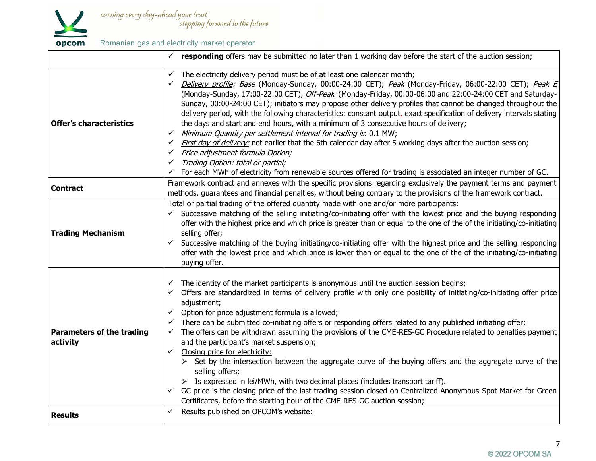

|                                              | responding offers may be submitted no later than 1 working day before the start of the auction session;                                                                                                           |
|----------------------------------------------|-------------------------------------------------------------------------------------------------------------------------------------------------------------------------------------------------------------------|
|                                              | The electricity delivery period must be of at least one calendar month;<br>✓                                                                                                                                      |
|                                              | Delivery profile: Base (Monday-Sunday, 00:00-24:00 CET); Peak (Monday-Friday, 06:00-22:00 CET); Peak E<br>$\checkmark$                                                                                            |
|                                              | (Monday-Sunday, 17:00-22:00 CET); Off-Peak (Monday-Friday, 00:00-06:00 and 22:00-24:00 CET and Saturday-                                                                                                          |
|                                              | Sunday, 00:00-24:00 CET); initiators may propose other delivery profiles that cannot be changed throughout the                                                                                                    |
|                                              | delivery period, with the following characteristics: constant output, exact specification of delivery intervals stating                                                                                           |
| <b>Offer's characteristics</b>               | the days and start and end hours, with a minimum of 3 consecutive hours of delivery;                                                                                                                              |
|                                              | Minimum Quantity per settlement interval for trading is: 0.1 MW;<br>$\checkmark$                                                                                                                                  |
|                                              | First day of delivery: not earlier that the 6th calendar day after 5 working days after the auction session;<br>$\checkmark$                                                                                      |
|                                              | Price adjustment formula Option;<br>$\checkmark$                                                                                                                                                                  |
|                                              | Trading Option: total or partial;<br>✓                                                                                                                                                                            |
|                                              | For each MWh of electricity from renewable sources offered for trading is associated an integer number of GC.                                                                                                     |
| <b>Contract</b>                              | Framework contract and annexes with the specific provisions regarding exclusively the payment terms and payment                                                                                                   |
|                                              | methods, guarantees and financial penalties, without being contrary to the provisions of the framework contract.                                                                                                  |
|                                              | Total or partial trading of the offered quantity made with one and/or more participants:                                                                                                                          |
|                                              | Successive matching of the selling initiating/co-initiating offer with the lowest price and the buying responding<br>$\checkmark$                                                                                 |
|                                              | offer with the highest price and which price is greater than or equal to the one of the of the initiating/co-initiating                                                                                           |
| <b>Trading Mechanism</b>                     | selling offer;                                                                                                                                                                                                    |
|                                              | Successive matching of the buying initiating/co-initiating offer with the highest price and the selling responding<br>$\checkmark$                                                                                |
|                                              | offer with the lowest price and which price is lower than or equal to the one of the of the initiating/co-initiating                                                                                              |
|                                              | buying offer.                                                                                                                                                                                                     |
|                                              | $\checkmark$ The identity of the market participants is anonymous until the auction session begins;                                                                                                               |
| <b>Parameters of the trading</b><br>activity | Offers are standardized in terms of delivery profile with only one posibility of initiating/co-initiating offer price<br>$\checkmark$                                                                             |
|                                              | adjustment;                                                                                                                                                                                                       |
|                                              | $\checkmark$ Option for price adjustment formula is allowed;                                                                                                                                                      |
|                                              | There can be submitted co-initiating offers or responding offers related to any published initiating offer;<br>$\checkmark$                                                                                       |
|                                              | The offers can be withdrawn assuming the provisions of the CME-RES-GC Procedure related to penalties payment<br>$\checkmark$                                                                                      |
|                                              | and the participant's market suspension;                                                                                                                                                                          |
|                                              | Closing price for electricity:<br>$\checkmark$                                                                                                                                                                    |
|                                              | > Set by the intersection between the aggregate curve of the buying offers and the aggregate curve of the                                                                                                         |
|                                              | selling offers;                                                                                                                                                                                                   |
|                                              | $\triangleright$ Is expressed in lei/MWh, with two decimal places (includes transport tariff).<br>GC price is the closing price of the last trading session closed on Centralized Anonymous Spot Market for Green |
|                                              | $\checkmark$<br>Certificates, before the starting hour of the CME-RES-GC auction session;                                                                                                                         |
|                                              | Results published on OPCOM's website:                                                                                                                                                                             |
| <b>Results</b>                               |                                                                                                                                                                                                                   |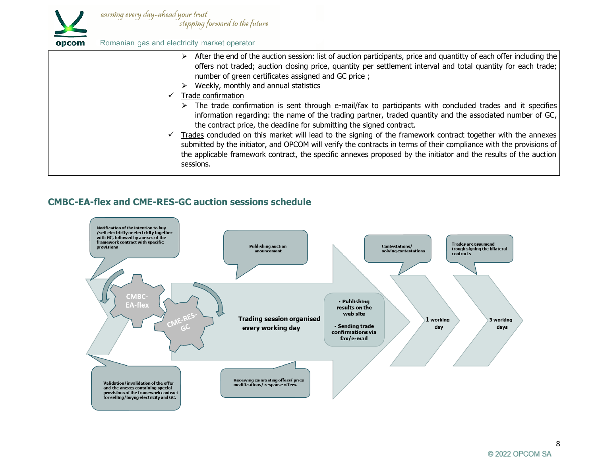

|  | opcom | Romanian gas and electricity market operator |  |  |  |  |  |
|--|-------|----------------------------------------------|--|--|--|--|--|
|--|-------|----------------------------------------------|--|--|--|--|--|

| $\triangleright$ After the end of the auction session: list of auction participants, price and quantitty of each offer including the<br>offers not traded; auction closing price, quantity per settlement interval and total quantity for each trade;<br>number of green certificates assigned and GC price;<br>Weekly, monthly and annual statistics                                                                                                                                                                                                                                                                                                                                    |
|------------------------------------------------------------------------------------------------------------------------------------------------------------------------------------------------------------------------------------------------------------------------------------------------------------------------------------------------------------------------------------------------------------------------------------------------------------------------------------------------------------------------------------------------------------------------------------------------------------------------------------------------------------------------------------------|
| Trade confirmation                                                                                                                                                                                                                                                                                                                                                                                                                                                                                                                                                                                                                                                                       |
| $\triangleright$ The trade confirmation is sent through e-mail/fax to participants with concluded trades and it specifies<br>information regarding: the name of the trading partner, traded quantity and the associated number of $GC$ ,<br>the contract price, the deadline for submitting the signed contract.<br>Trades concluded on this market will lead to the signing of the framework contract together with the annexes<br>submitted by the initiator, and OPCOM will verify the contracts in terms of their compliance with the provisions of<br>the applicable framework contract, the specific annexes proposed by the initiator and the results of the auction<br>sessions. |

## **CMBC-EA-flex and CME-RES-GC auction sessions schedule**

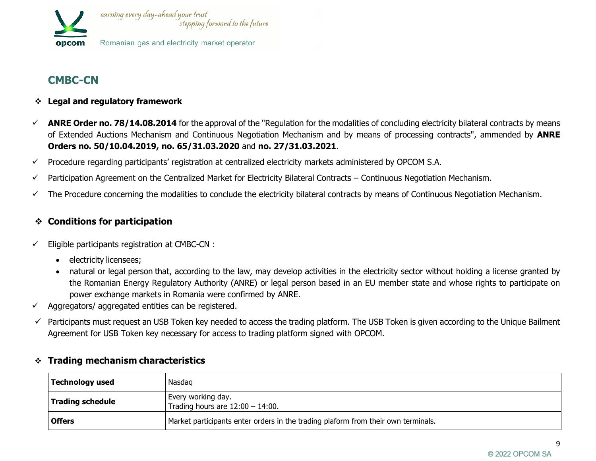

# **CMBC-CN**

- ❖ **Legal and regulatory framework**
- ✓ **ANRE Order no. 78/14.08.2014** for the approval of the "Regulation for the modalities of concluding electricity bilateral contracts by means of Extended Auctions Mechanism and Continuous Negotiation Mechanism and by means of processing contracts", ammended by **ANRE Orders no. 50/10.04.2019, no. 65/31.03.2020** and **no. 27/31.03.2021**.
- $\checkmark$  Procedure regarding participants' registration at centralized electricity markets administered by OPCOM S.A.
- $\checkmark$  Participation Agreement on the Centralized Market for Electricity Bilateral Contracts Continuous Negotiation Mechanism.
- $\checkmark$  The Procedure concerning the modalities to conclude the electricity bilateral contracts by means of Continuous Negotiation Mechanism.

# ❖ **Conditions for participation**

- $\checkmark$  Eligible participants registration at CMBC-CN :
	- electricity licensees;
	- natural or legal person that, according to the law, may develop activities in the electricity sector without holding a license granted by the Romanian Energy Regulatory Authority (ANRE) or legal person based in an EU member state and whose rights to participate on power exchange markets in Romania were confirmed by ANRE.
- $\checkmark$  Aggregators/ aggregated entities can be registered.
- $\checkmark$  Participants must request an USB Token key needed to access the trading platform. The USB Token is given according to the Unique Bailment Agreement for USB Token key necessary for access to trading platform signed with OPCOM.

| <b>Hauling Incentanism characteristics</b> |                                                                                   |  |  |
|--------------------------------------------|-----------------------------------------------------------------------------------|--|--|
| Technology used                            | Nasdag                                                                            |  |  |
| Trading schedule                           | Every working day.<br>Trading hours are $12:00 - 14:00$ .                         |  |  |
| <b>Offers</b>                              | Market participants enter orders in the trading plaform from their own terminals. |  |  |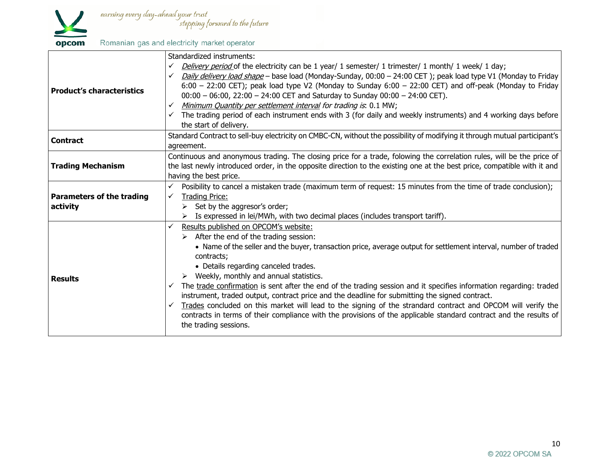

|                                              | Standardized instruments:                                                                                                       |  |  |  |  |  |
|----------------------------------------------|---------------------------------------------------------------------------------------------------------------------------------|--|--|--|--|--|
|                                              | Delivery period of the electricity can be 1 year/ 1 semester/ 1 trimester/ 1 month/ 1 week/ 1 day;<br>✓                         |  |  |  |  |  |
|                                              | Daily delivery load shape - base load (Monday-Sunday, 00:00 - 24:00 CET); peak load type V1 (Monday to Friday<br>✓              |  |  |  |  |  |
|                                              | $6:00 - 22:00$ CET); peak load type V2 (Monday to Sunday $6:00 - 22:00$ CET) and off-peak (Monday to Friday                     |  |  |  |  |  |
| <b>Product's characteristics</b>             | $00:00 - 06:00$ , 22:00 - 24:00 CET and Saturday to Sunday 00:00 - 24:00 CET).                                                  |  |  |  |  |  |
|                                              | Minimum Quantity per settlement interval for trading is. 0.1 MW;<br>$\checkmark$                                                |  |  |  |  |  |
|                                              | $\checkmark$ The trading period of each instrument ends with 3 (for daily and weekly instruments) and 4 working days before     |  |  |  |  |  |
|                                              | the start of delivery.                                                                                                          |  |  |  |  |  |
|                                              | Standard Contract to sell-buy electricity on CMBC-CN, without the possibility of modifying it through mutual participant's      |  |  |  |  |  |
| <b>Contract</b>                              | agreement.                                                                                                                      |  |  |  |  |  |
|                                              | Continuous and anonymous trading. The closing price for a trade, folowing the correlation rules, will be the price of           |  |  |  |  |  |
| <b>Trading Mechanism</b>                     | the last newly introduced order, in the opposite direction to the existing one at the best price, compatible with it and        |  |  |  |  |  |
|                                              | having the best price.                                                                                                          |  |  |  |  |  |
|                                              | Posibility to cancel a mistaken trade (maximum term of request: 15 minutes from the time of trade conclusion);                  |  |  |  |  |  |
| <b>Parameters of the trading</b><br>activity | <b>Trading Price:</b><br>$\checkmark$                                                                                           |  |  |  |  |  |
|                                              | $\triangleright$ Set by the aggresor's order;                                                                                   |  |  |  |  |  |
|                                              | Is expressed in lei/MWh, with two decimal places (includes transport tariff).                                                   |  |  |  |  |  |
|                                              | Results published on OPCOM's website:<br>$\checkmark$                                                                           |  |  |  |  |  |
| <b>Results</b>                               | $\triangleright$ After the end of the trading session:                                                                          |  |  |  |  |  |
|                                              | • Name of the seller and the buyer, transaction price, average output for settlement interval, number of traded                 |  |  |  |  |  |
|                                              | contracts;                                                                                                                      |  |  |  |  |  |
|                                              | • Details regarding canceled trades.                                                                                            |  |  |  |  |  |
|                                              | $\triangleright$ Weekly, monthly and annual statistics.                                                                         |  |  |  |  |  |
|                                              | $\checkmark$ The trade confirmation is sent after the end of the trading session and it specifies information regarding: traded |  |  |  |  |  |
|                                              | instrument, traded output, contract price and the deadline for submitting the signed contract.                                  |  |  |  |  |  |
|                                              | Trades concluded on this market will lead to the signing of the strandard contract and OPCOM will verify the<br>✓               |  |  |  |  |  |
|                                              | contracts in terms of their compliance with the provisions of the applicable standard contract and the results of               |  |  |  |  |  |
|                                              | the trading sessions.                                                                                                           |  |  |  |  |  |
|                                              |                                                                                                                                 |  |  |  |  |  |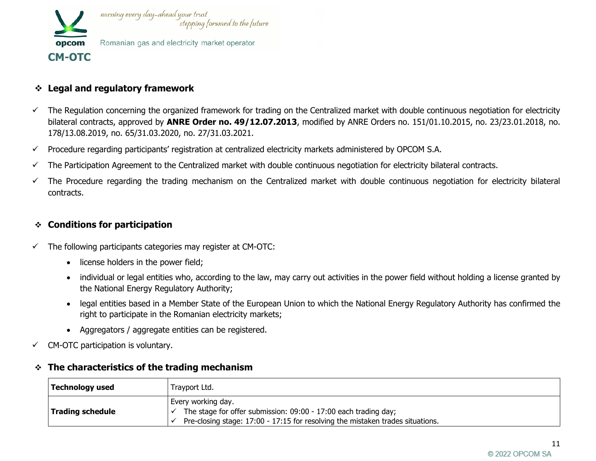

# ❖ **Legal and regulatory framework**

- The Regulation concerning the organized framework for trading on the Centralized market with double continuous negotiation for electricity bilateral contracts, approved by **ANRE Order no. 49/12.07.2013**, modified by ANRE Orders no. 151/01.10.2015, no. 23/23.01.2018, no. 178/13.08.2019, no. 65/31.03.2020, no. 27/31.03.2021.
- $\checkmark$  Procedure regarding participants' registration at centralized electricity markets administered by OPCOM S.A.
- $\checkmark$  The Participation Agreement to the Centralized market with double continuous negotiation for electricity bilateral contracts.
- $\checkmark$  The Procedure regarding the trading mechanism on the Centralized market with double continuous negotiation for electricity bilateral contracts.

## ❖ **Conditions for participation**

- $\checkmark$  The following participants categories may register at CM-OTC:
	- license holders in the power field;
	- individual or legal entities who, according to the law, may carry out activities in the power field without holding a license granted by the National Energy Regulatory Authority;
	- legal entities based in a Member State of the European Union to which the National Energy Regulatory Authority has confirmed the right to participate in the Romanian electricity markets;
	- Aggregators / aggregate entities can be registered.
- $\checkmark$  CM-OTC participation is voluntary.

#### ❖ **The characteristics of the trading mechanism**

| <b>Technology used</b>  | Trayport Ltd.                                                                                                                                                           |  |  |
|-------------------------|-------------------------------------------------------------------------------------------------------------------------------------------------------------------------|--|--|
| <b>Trading schedule</b> | Every working day.<br>The stage for offer submission: 09:00 - 17:00 each trading day;<br>Pre-closing stage: 17:00 - 17:15 for resolving the mistaken trades situations. |  |  |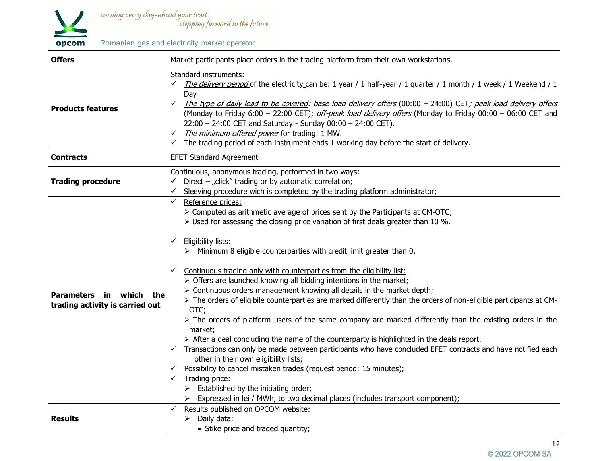

| <b>Offers</b>                                                 | Market participants place orders in the trading platform from their own workstations.                                                                                                                                                                                                                                                                                                                                                                                                                                                                                                                                                                                                                                                                                                                                                                                                                                                                                                                                                                                                                                                                                                                                                                                                                                          |
|---------------------------------------------------------------|--------------------------------------------------------------------------------------------------------------------------------------------------------------------------------------------------------------------------------------------------------------------------------------------------------------------------------------------------------------------------------------------------------------------------------------------------------------------------------------------------------------------------------------------------------------------------------------------------------------------------------------------------------------------------------------------------------------------------------------------------------------------------------------------------------------------------------------------------------------------------------------------------------------------------------------------------------------------------------------------------------------------------------------------------------------------------------------------------------------------------------------------------------------------------------------------------------------------------------------------------------------------------------------------------------------------------------|
| <b>Products features</b>                                      | Standard instruments:<br>The delivery period of the electricity can be: 1 year / 1 half-year / 1 quarter / 1 month / 1 week / 1 Weekend / 1<br>✓<br>Day<br>The type of daily load to be covered: base load delivery offers (00:00 - 24:00) CET; peak load delivery offers<br>✓<br>(Monday to Friday 6:00 - 22:00 CET); off-peak load delivery offers (Monday to Friday 00:00 - 06:00 CET and<br>$22:00 - 24:00$ CET and Saturday - Sunday $00:00 - 24:00$ CET).<br>The minimum offered power for trading: 1 MW.<br>✓<br>The trading period of each instrument ends 1 working day before the start of delivery.<br>✓                                                                                                                                                                                                                                                                                                                                                                                                                                                                                                                                                                                                                                                                                                            |
| <b>Contracts</b>                                              | <b>EFET Standard Agreement</b>                                                                                                                                                                                                                                                                                                                                                                                                                                                                                                                                                                                                                                                                                                                                                                                                                                                                                                                                                                                                                                                                                                                                                                                                                                                                                                 |
| <b>Trading procedure</b>                                      | Continuous, anonymous trading, performed in two ways:<br>Direct - "click" trading or by automatic correlation;<br>Sleeving procedure wich is completed by the trading platform administrator;<br>✓                                                                                                                                                                                                                                                                                                                                                                                                                                                                                                                                                                                                                                                                                                                                                                                                                                                                                                                                                                                                                                                                                                                             |
| Parameters in which<br>the<br>trading activity is carried out | Reference prices:<br>✓<br>> Computed as arithmetic average of prices sent by the Participants at CM-OTC;<br>$\triangleright$ Used for assessing the closing price variation of first deals greater than 10 %.<br>Eligibility lists:<br>✓<br>Minimum 8 eligible counterparties with credit limit greater than 0.<br>Continuous trading only with counterparties from the eligibility list:<br>✓<br>> Offers are launched knowing all bidding intentions in the market;<br>> Continuous orders management knowing all details in the market depth;<br>> The orders of eligibile counterparties are marked differently than the orders of non-eligible participants at CM-<br>OTC;<br>> The orders of platform users of the same company are marked differently than the existing orders in the<br>market;<br>$\triangleright$ After a deal concluding the name of the counterparty is highlighted in the deals report.<br>Transactions can only be made between participants who have concluded EFET contracts and have notified each<br>✓<br>other in their own eligibility lists;<br>Possibility to cancel mistaken trades (request period: 15 minutes);<br>✓<br>Trading price:<br>✓<br>$\triangleright$ Established by the initiating order;<br>Expressed in lei / MWh, to two decimal places (includes transport component); |
| <b>Results</b>                                                | Results published on OPCOM website:<br>✓<br>Daily data:<br>$\blacktriangleright$<br>• Stike price and traded quantity;                                                                                                                                                                                                                                                                                                                                                                                                                                                                                                                                                                                                                                                                                                                                                                                                                                                                                                                                                                                                                                                                                                                                                                                                         |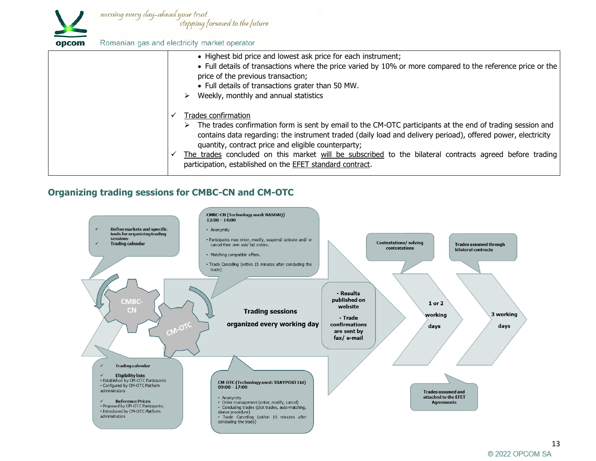

| :om |  | Romanian gas and electricity market operator |  |  |
|-----|--|----------------------------------------------|--|--|
|-----|--|----------------------------------------------|--|--|

| • Highest bid price and lowest ask price for each instrument;<br>• Full details of transactions where the price varied by 10% or more compared to the reference price or the<br>price of the previous transaction;<br>• Full details of transactions grater than 50 MW.<br>Weekly, monthly and annual statistics                                                                                                                                                                        |
|-----------------------------------------------------------------------------------------------------------------------------------------------------------------------------------------------------------------------------------------------------------------------------------------------------------------------------------------------------------------------------------------------------------------------------------------------------------------------------------------|
| Trades confirmation<br>The trades confirmation form is sent by email to the CM-OTC participants at the end of trading session and<br>contains data regarding: the instrument traded (daily load and delivery perioad), offered power, electricity<br>quantity, contract price and eligible counterparty;<br>The trades concluded on this market will be subscribed to the bilateral contracts agreed before trading<br>participation, established on the <b>EFET</b> standard contract. |

# **Organizing trading sessions for CMBC-CN and CM-OTC**

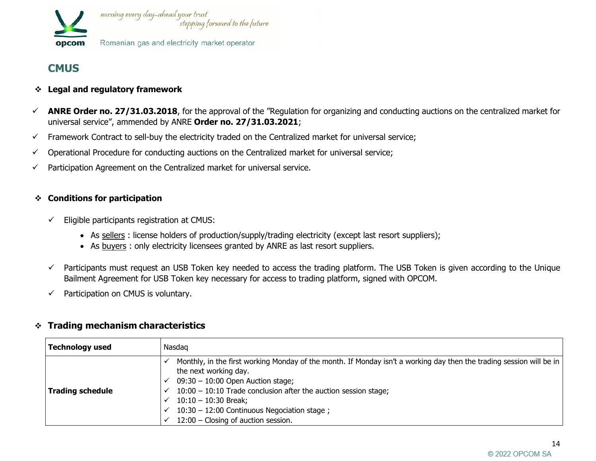

# **CMUS**

- ❖ **Legal and regulatory framework**
- $\checkmark$  ANRE Order no. 27/31.03.2018, for the approval of the "Regulation for organizing and conducting auctions on the centralized market for universal service", ammended by ANRE **Order no. 27/31.03.2021**;
- ✓ Framework Contract to sell-buy the electricity traded on the Centralized market for universal service;
- ✓ Operational Procedure for conducting auctions on the Centralized market for universal service;
- $\checkmark$  Participation Agreement on the Centralized market for universal service.

#### ❖ **Conditions for participation**

- $\checkmark$  Eligible participants registration at CMUS:
	- As sellers : license holders of production/supply/trading electricity (except last resort suppliers);
	- As buyers : only electricity licensees granted by ANRE as last resort suppliers.
- ✓ Participants must request an USB Token key needed to access the trading platform. The USB Token is given according to the Unique Bailment Agreement for USB Token key necessary for access to trading platform, signed with OPCOM.
- $\checkmark$  Participation on CMUS is voluntary.

| <b>Technology used</b>  | Nasdag                                                                                                                                                                                                                                                                                                                                                                      |  |
|-------------------------|-----------------------------------------------------------------------------------------------------------------------------------------------------------------------------------------------------------------------------------------------------------------------------------------------------------------------------------------------------------------------------|--|
| <b>Trading schedule</b> | Monthly, in the first working Monday of the month. If Monday isn't a working day then the trading session will be in<br>the next working day.<br>$09:30 - 10:00$ Open Auction stage;<br>$10:00 - 10:10$ Trade conclusion after the auction session stage;<br>$10:10 - 10:30$ Break;<br>10:30 - 12:00 Continuous Negociation stage;<br>$12:00$ – Closing of auction session. |  |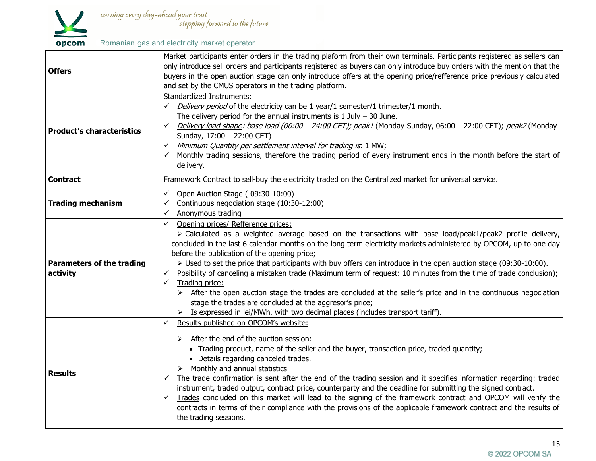

| <b>Offers</b>                                | Market participants enter orders in the trading plaform from their own terminals. Participants registered as sellers can<br>only introduce sell orders and participants registered as buyers can only introduce buy orders with the mention that the<br>buyers in the open auction stage can only introduce offers at the opening price/refference price previously calculated<br>and set by the CMUS operators in the trading platform.                                                                                                                                                                                                                                                                                                                                                                                                                                                                                           |  |  |
|----------------------------------------------|------------------------------------------------------------------------------------------------------------------------------------------------------------------------------------------------------------------------------------------------------------------------------------------------------------------------------------------------------------------------------------------------------------------------------------------------------------------------------------------------------------------------------------------------------------------------------------------------------------------------------------------------------------------------------------------------------------------------------------------------------------------------------------------------------------------------------------------------------------------------------------------------------------------------------------|--|--|
| <b>Product's characteristics</b>             | <b>Standardized Instruments:</b><br>$\checkmark$ Delivery period of the electricity can be 1 year/1 semester/1 trimester/1 month.<br>The delivery period for the annual instruments is $1$ July $-$ 30 June.<br>V Delivery load shape: base load (00:00 – 24:00 CET); peak1 (Monday-Sunday, 06:00 – 22:00 CET); peak2 (Monday-<br>Sunday, 17:00 - 22:00 CET)<br>√ Minimum Quantity per settlement interval for trading is: 1 MW;<br>Monthly trading sessions, therefore the trading period of every instrument ends in the month before the start of<br>delivery.                                                                                                                                                                                                                                                                                                                                                                  |  |  |
| <b>Contract</b>                              | Framework Contract to sell-buy the electricity traded on the Centralized market for universal service.                                                                                                                                                                                                                                                                                                                                                                                                                                                                                                                                                                                                                                                                                                                                                                                                                             |  |  |
| <b>Trading mechanism</b>                     | $\checkmark$ Open Auction Stage (09:30-10:00)<br>Continuous negociation stage (10:30-12:00)<br>✓<br>Anonymous trading<br>$\checkmark$                                                                                                                                                                                                                                                                                                                                                                                                                                                                                                                                                                                                                                                                                                                                                                                              |  |  |
| <b>Parameters of the trading</b><br>activity | Opening prices/ Refference prices:<br>$\checkmark$<br>$\triangleright$ Calculated as a weighted average based on the transactions with base load/peak1/peak2 profile delivery,<br>concluded in the last 6 calendar months on the long term electricity markets administered by OPCOM, up to one day<br>before the publication of the opening price;<br>> Used to set the price that participants with buy offers can introduce in the open auction stage (09:30-10:00).<br>Posibility of canceling a mistaken trade (Maximum term of request: 10 minutes from the time of trade conclusion);<br>✓<br>$\checkmark$<br>Trading price:<br>$\triangleright$ After the open auction stage the trades are concluded at the seller's price and in the continuous negociation<br>stage the trades are concluded at the aggresor's price;<br>$\triangleright$ Is expressed in lei/MWh, with two decimal places (includes transport tariff). |  |  |
| <b>Results</b>                               | Results published on OPCOM's website:<br>✓<br>$\triangleright$ After the end of the auction session:<br>• Trading product, name of the seller and the buyer, transaction price, traded quantity;<br>• Details regarding canceled trades.<br>$\triangleright$ Monthly and annual statistics<br>The trade confirmation is sent after the end of the trading session and it specifies information regarding: traded<br>instrument, traded output, contract price, counterparty and the deadline for submitting the signed contract.<br>Trades concluded on this market will lead to the signing of the framework contract and OPCOM will verify the<br>$\checkmark$<br>contracts in terms of their compliance with the provisions of the applicable framework contract and the results of<br>the trading sessions.                                                                                                                    |  |  |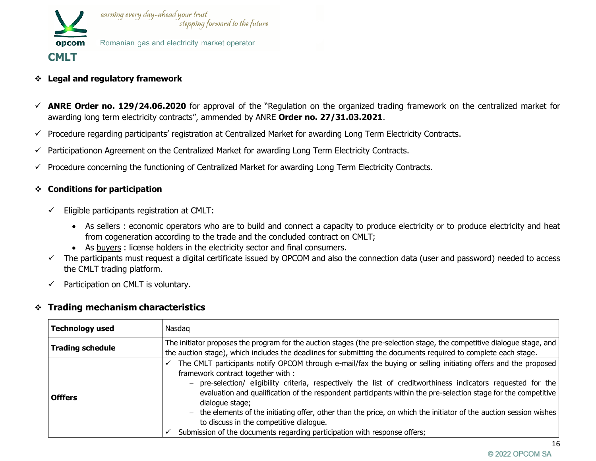

- ❖ **Legal and regulatory framework**
- ✓ **ANRE Order no. 129/24.06.2020** for approval of the "Regulation on the organized trading framework on the centralized market for awarding long term electricity contracts", ammended by ANRE **Order no. 27/31.03.2021**.
- ✓ Procedure regarding participants' registration at Centralized Market for awarding Long Term Electricity Contracts.
- ✓ Participationon Agreement on the Centralized Market for awarding Long Term Electricity Contracts.
- $\checkmark$  Procedure concerning the functioning of Centralized Market for awarding Long Term Electricity Contracts.

#### ❖ **Conditions for participation**

- $\checkmark$  Eligible participants registration at CMLT:
	- As sellers : economic operators who are to build and connect a capacity to produce electricity or to produce electricity and heat from cogeneration according to the trade and the concluded contract on CMLT;
	- As buyers : license holders in the electricity sector and final consumers.
- ✓ The participants must request a digital certificate issued by OPCOM and also the connection data (user and password) needed to access the CMLT trading platform.
- $\checkmark$  Participation on CMLT is voluntary.

| <b>Technology used</b>  | Nasdag                                                                                                                                                                                                                                                                                                                                                                                                                                                                                                                                                                                                                                                     |  |  |
|-------------------------|------------------------------------------------------------------------------------------------------------------------------------------------------------------------------------------------------------------------------------------------------------------------------------------------------------------------------------------------------------------------------------------------------------------------------------------------------------------------------------------------------------------------------------------------------------------------------------------------------------------------------------------------------------|--|--|
| <b>Trading schedule</b> | The initiator proposes the program for the auction stages (the pre-selection stage, the competitive dialogue stage, and<br>the auction stage), which includes the deadlines for submitting the documents required to complete each stage.                                                                                                                                                                                                                                                                                                                                                                                                                  |  |  |
| <b>Offfers</b>          | The CMLT participants notify OPCOM through e-mail/fax the buying or selling initiating offers and the proposed<br>framework contract together with :<br>- pre-selection/ eligibility criteria, respectively the list of creditworthiness indicators requested for the<br>evaluation and qualification of the respondent participants within the pre-selection stage for the competitive<br>dialogue stage;<br>$-$ the elements of the initiating offer, other than the price, on which the initiator of the auction session wishes<br>to discuss in the competitive dialogue.<br>Submission of the documents regarding participation with response offers; |  |  |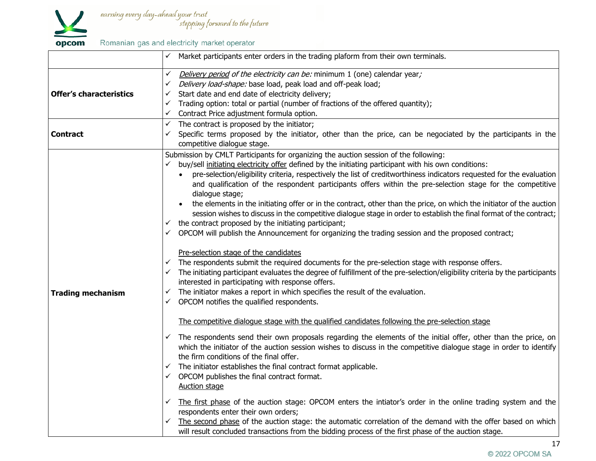

earning every day-ahead your trust<br>stepping forward to the future

Romanian gas and electricity market operator

| Delivery period of the electricity can be: minimum 1 (one) calendar year;<br>Delivery load-shape: base load, peak load and off-peak load;<br>Start date and end date of electricity delivery;<br>Trading option: total or partial (number of fractions of the offered quantity);<br>Contract Price adjustment formula option.                                                                                                                                                                                                                                                                                                                                                                                                                                                                                                                                                                                                                                                                                                                                                                                                                                                                                                                                                                                                                                                                                                                                                                                                                                                                                                                                                                                                                                                                                                                                                                                                                                                                                                                                                                                                                                                                                                                                                          |
|----------------------------------------------------------------------------------------------------------------------------------------------------------------------------------------------------------------------------------------------------------------------------------------------------------------------------------------------------------------------------------------------------------------------------------------------------------------------------------------------------------------------------------------------------------------------------------------------------------------------------------------------------------------------------------------------------------------------------------------------------------------------------------------------------------------------------------------------------------------------------------------------------------------------------------------------------------------------------------------------------------------------------------------------------------------------------------------------------------------------------------------------------------------------------------------------------------------------------------------------------------------------------------------------------------------------------------------------------------------------------------------------------------------------------------------------------------------------------------------------------------------------------------------------------------------------------------------------------------------------------------------------------------------------------------------------------------------------------------------------------------------------------------------------------------------------------------------------------------------------------------------------------------------------------------------------------------------------------------------------------------------------------------------------------------------------------------------------------------------------------------------------------------------------------------------------------------------------------------------------------------------------------------------|
| The contract is proposed by the initiator;<br>Specific terms proposed by the initiator, other than the price, can be negociated by the participants in the<br>competitive dialogue stage.                                                                                                                                                                                                                                                                                                                                                                                                                                                                                                                                                                                                                                                                                                                                                                                                                                                                                                                                                                                                                                                                                                                                                                                                                                                                                                                                                                                                                                                                                                                                                                                                                                                                                                                                                                                                                                                                                                                                                                                                                                                                                              |
| Submission by CMLT Participants for organizing the auction session of the following:<br>buy/sell initiating electricity offer defined by the initiating participant with his own conditions:<br>pre-selection/eligibility criteria, respectively the list of creditworthiness indicators requested for the evaluation<br>$\bullet$<br>and qualification of the respondent participants offers within the pre-selection stage for the competitive<br>dialogue stage;<br>the elements in the initiating offer or in the contract, other than the price, on which the initiator of the auction<br>session wishes to discuss in the competitive dialogue stage in order to establish the final format of the contract;<br>the contract proposed by the initiating participant;<br>OPCOM will publish the Announcement for organizing the trading session and the proposed contract;<br>Pre-selection stage of the candidates<br>The respondents submit the required documents for the pre-selection stage with response offers.<br>The initiating participant evaluates the degree of fulfillment of the pre-selection/eligibility criteria by the participants<br>interested in participating with response offers.<br>$\checkmark$ The initiator makes a report in which specifies the result of the evaluation.<br>$\checkmark$ OPCOM notifies the qualified respondents.<br>The competitive dialogue stage with the qualified candidates following the pre-selection stage<br>The respondents send their own proposals regarding the elements of the initial offer, other than the price, on<br>which the initiator of the auction session wishes to discuss in the competitive dialogue stage in order to identify<br>the firm conditions of the final offer.<br>The initiator establishes the final contract format applicable.<br>OPCOM publishes the final contract format.<br><b>Auction stage</b><br>The first phase of the auction stage: OPCOM enters the intiator's order in the online trading system and the<br>respondents enter their own orders;<br>The second phase of the auction stage: the automatic correlation of the demand with the offer based on which<br>will result concluded transactions from the bidding process of the first phase of the auction stage. |
|                                                                                                                                                                                                                                                                                                                                                                                                                                                                                                                                                                                                                                                                                                                                                                                                                                                                                                                                                                                                                                                                                                                                                                                                                                                                                                                                                                                                                                                                                                                                                                                                                                                                                                                                                                                                                                                                                                                                                                                                                                                                                                                                                                                                                                                                                        |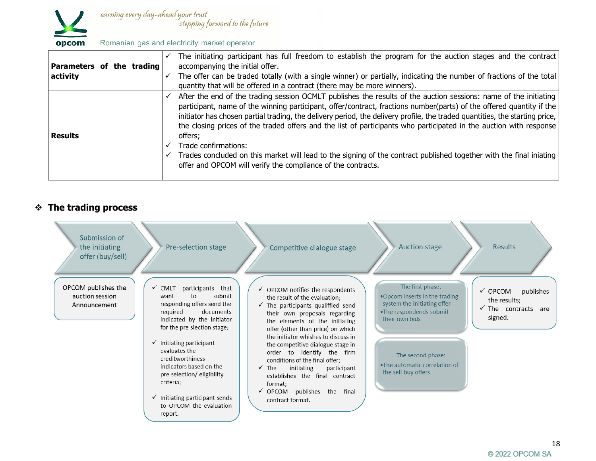

| Parameters of the trading<br>activity | The initiating participant has full freedom to establish the program for the auction stages and the contract<br>accompanying the initial offer.<br>The offer can be traded totally (with a single winner) or partially, indicating the number of fractions of the total<br>quantity that will be offered in a contract (there may be more winners).                                                                                                                                                                                                                                                                                                                                                                     |
|---------------------------------------|-------------------------------------------------------------------------------------------------------------------------------------------------------------------------------------------------------------------------------------------------------------------------------------------------------------------------------------------------------------------------------------------------------------------------------------------------------------------------------------------------------------------------------------------------------------------------------------------------------------------------------------------------------------------------------------------------------------------------|
| <b>Results</b>                        | After the end of the trading session OCMLT publishes the results of the auction sessions: name of the initiating<br>participant, name of the winning participant, offer/contract, fractions number(parts) of the offered quantity if the<br>initiator has chosen partial trading, the delivery period, the delivery profile, the traded quantities, the starting price,<br>the closing prices of the traded offers and the list of participants who participated in the auction with response<br>offers:<br>Trade confirmations:<br>Trades concluded on this market will lead to the signing of the contract published together with the final iniating<br>offer and OPCOM will verify the compliance of the contracts. |

## ❖ **The trading process**

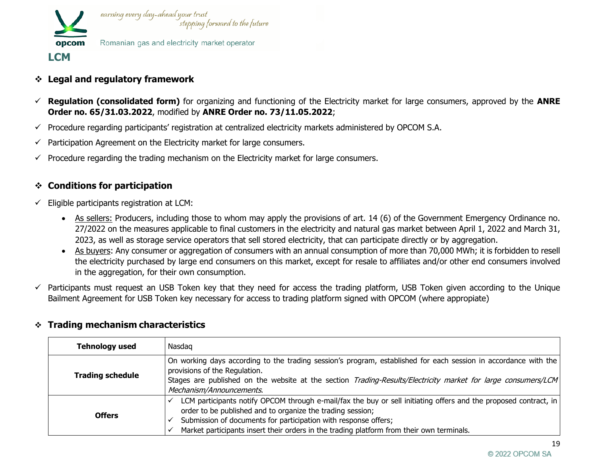

- ❖ **Legal and regulatory framework**
- ✓ **Regulation (consolidated form)** for organizing and functioning of the Electricity market for large consumers, approved by the **ANRE Order no. 65/31.03.2022**, modified by **ANRE Order no. 73/11.05.2022**;
- $\checkmark$  Procedure regarding participants' registration at centralized electricity markets administered by OPCOM S.A.
- $\checkmark$  Participation Agreement on the Electricity market for large consumers.
- $\checkmark$  Procedure regarding the trading mechanism on the Electricity market for large consumers.

## ❖ **Conditions for participation**

- $\checkmark$  Eligible participants registration at LCM:
	- As sellers: Producers, including those to whom may apply the provisions of art. 14 (6) of the Government Emergency Ordinance no. 27/2022 on the measures applicable to final customers in the electricity and natural gas market between April 1, 2022 and March 31, 2023, as well as storage service operators that sell stored electricity, that can participate directly or by aggregation.
	- As buyers: Any consumer or aggregation of consumers with an annual consumption of more than 70,000 MWh; it is forbidden to resell the electricity purchased by large end consumers on this market, except for resale to affiliates and/or other end consumers involved in the aggregation, for their own consumption.
- $\checkmark$  Participants must request an USB Token key that they need for access the trading platform, USB Token given according to the Unique Bailment Agreement for USB Token key necessary for access to trading platform signed with OPCOM (where appropiate)

| <b>Tehnology used</b>   | Nasdag                                                                                                                                                                                                                                                                                                                                         |  |  |
|-------------------------|------------------------------------------------------------------------------------------------------------------------------------------------------------------------------------------------------------------------------------------------------------------------------------------------------------------------------------------------|--|--|
| <b>Trading schedule</b> | On working days according to the trading session's program, established for each session in accordance with the<br>provisions of the Regulation.<br>Stages are published on the website at the section Trading-Results/Electricity market for large consumers/LCM<br>Mechanism/Announcements.                                                  |  |  |
| <b>Offers</b>           | LCM participants notify OPCOM through e-mail/fax the buy or sell initiating offers and the proposed contract, in<br>order to be published and to organize the trading session;<br>Submission of documents for participation with response offers;<br>Market participants insert their orders in the trading platform from their own terminals. |  |  |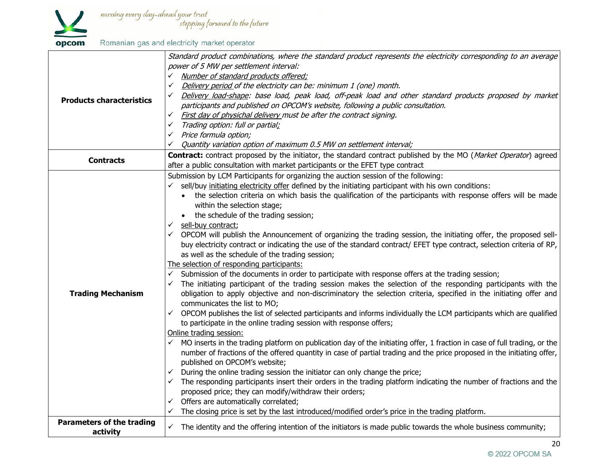

|                                  | Standard product combinations, where the standard product represents the electricity corresponding to an average                       |
|----------------------------------|----------------------------------------------------------------------------------------------------------------------------------------|
|                                  | power of 5 MW per settlement interval:                                                                                                 |
|                                  | V Number of standard products offered;                                                                                                 |
|                                  | Delivery period of the electricity can be: minimum 1 (one) month.<br>$\checkmark$                                                      |
| <b>Products characteristics</b>  | Delivery load-shape: base load, peak load, off-peak load and other standard products proposed by market                                |
|                                  | participants and published on OPCOM's website, following a public consultation.                                                        |
|                                  | Eirst day of physichal delivery must be after the contract signing.                                                                    |
|                                  | $\checkmark$ Trading option: full or partial;                                                                                          |
|                                  | $\checkmark$ Price formula option;                                                                                                     |
|                                  | Quantity variation option of maximum 0.5 MW on settlement interval;<br>✓                                                               |
| <b>Contracts</b>                 | Contract: contract proposed by the initiator, the standard contract published by the MO (Market Operator) agreed                       |
|                                  | after a public consultation with market participants or the EFET type contract                                                         |
|                                  | Submission by LCM Participants for organizing the auction session of the following:                                                    |
|                                  | $\checkmark$ sell/buy initiating electricity offer defined by the initiating participant with his own conditions:                      |
|                                  | • the selection criteria on which basis the qualification of the participants with response offers will be made                        |
|                                  | within the selection stage;                                                                                                            |
|                                  | the schedule of the trading session;                                                                                                   |
|                                  | $\checkmark$ sell-buy contract;                                                                                                        |
|                                  | $\checkmark$ OPCOM will publish the Announcement of organizing the trading session, the initiating offer, the proposed sell-           |
|                                  | buy electricity contract or indicating the use of the standard contract/ EFET type contract, selection criteria of RP,                 |
|                                  | as well as the schedule of the trading session;                                                                                        |
|                                  | The selection of responding participants:                                                                                              |
|                                  | Submission of the documents in order to participate with response offers at the trading session;                                       |
|                                  | $\checkmark$ The initiating participant of the trading session makes the selection of the responding participants with the             |
| <b>Trading Mechanism</b>         | obligation to apply objective and non-discriminatory the selection criteria, specified in the initiating offer and                     |
|                                  | communicates the list to MO;                                                                                                           |
|                                  | $\checkmark$ OPCOM publishes the list of selected participants and informs individually the LCM participants which are qualified       |
|                                  | to participate in the online trading session with response offers;                                                                     |
|                                  | Online trading session:                                                                                                                |
|                                  | $\checkmark$ MO inserts in the trading platform on publication day of the initiating offer, 1 fraction in case of full trading, or the |
|                                  | number of fractions of the offered quantity in case of partial trading and the price proposed in the initiating offer,                 |
|                                  | published on OPCOM's website;                                                                                                          |
|                                  | $\checkmark$ During the online trading session the initiator can only change the price;                                                |
|                                  | $\checkmark$ The responding participants insert their orders in the trading platform indicating the number of fractions and the        |
|                                  | proposed price; they can modify/withdraw their orders;                                                                                 |
|                                  | $\checkmark$ Offers are automatically correlated;                                                                                      |
|                                  | The closing price is set by the last introduced/modified order's price in the trading platform.                                        |
| <b>Parameters of the trading</b> | $\checkmark$ The identity and the offering intention of the initiators is made public towards the whole business community;            |
| activity                         |                                                                                                                                        |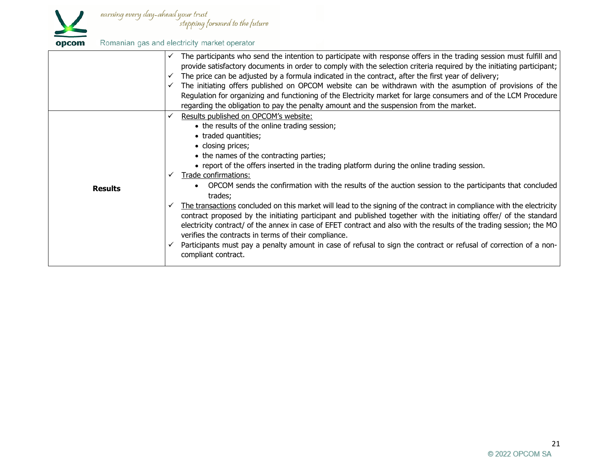

| opcom |  |  | Romanian gas and electricity market operator |
|-------|--|--|----------------------------------------------|
|-------|--|--|----------------------------------------------|

|                | The participants who send the intention to participate with response offers in the trading session must fulfill and<br>provide satisfactory documents in order to comply with the selection criteria required by the initiating participant;<br>The price can be adjusted by a formula indicated in the contract, after the first year of delivery;<br>The initiating offers published on OPCOM website can be withdrawn with the asumption of provisions of the<br>Regulation for organizing and functioning of the Electricity market for large consumers and of the LCM Procedure<br>regarding the obligation to pay the penalty amount and the suspension from the market.                                                                                                                                                                                                                                                                                                                           |
|----------------|----------------------------------------------------------------------------------------------------------------------------------------------------------------------------------------------------------------------------------------------------------------------------------------------------------------------------------------------------------------------------------------------------------------------------------------------------------------------------------------------------------------------------------------------------------------------------------------------------------------------------------------------------------------------------------------------------------------------------------------------------------------------------------------------------------------------------------------------------------------------------------------------------------------------------------------------------------------------------------------------------------|
| <b>Results</b> | Results published on OPCOM's website:<br>• the results of the online trading session;<br>• traded quantities;<br>• closing prices;<br>• the names of the contracting parties;<br>• report of the offers inserted in the trading platform during the online trading session.<br>Trade confirmations:<br>OPCOM sends the confirmation with the results of the auction session to the participants that concluded<br>trades;<br>The transactions concluded on this market will lead to the signing of the contract in compliance with the electricity<br>✓<br>contract proposed by the initiating participant and published together with the initiating offer/ of the standard<br>electricity contract/ of the annex in case of EFET contract and also with the results of the trading session; the MO<br>verifies the contracts in terms of their compliance.<br>Participants must pay a penalty amount in case of refusal to sign the contract or refusal of correction of a non-<br>compliant contract. |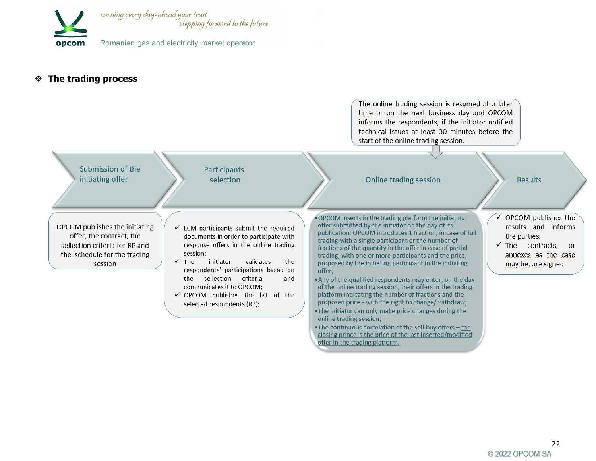

#### ❖ **The trading process**

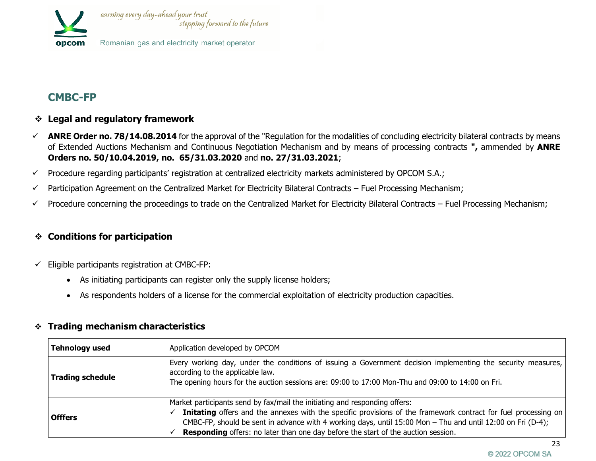

# **CMBC-FP**

## ❖ **Legal and regulatory framework**

- $\checkmark$  ANRE Order no. 78/14.08.2014 for the approval of the "Regulation for the modalities of concluding electricity bilateral contracts by means of Extended Auctions Mechanism and Continuous Negotiation Mechanism and by means of processing contracts **",** ammended by **ANRE Orders no. 50/10.04.2019, no. 65/31.03.2020** and **no. 27/31.03.2021**;
- ✓ Procedure regarding participants' registration at centralized electricity markets administered by OPCOM S.A.;
- $\checkmark$  Participation Agreement on the Centralized Market for Electricity Bilateral Contracts Fuel Processing Mechanism;
- $\checkmark$  Procedure concerning the proceedings to trade on the Centralized Market for Electricity Bilateral Contracts Fuel Processing Mechanism;

# ❖ **Conditions for participation**

- $\checkmark$  Eligible participants registration at CMBC-FP:
	- As initiating participants can register only the supply license holders;
	- As respondents holders of a license for the commercial exploitation of electricity production capacities.

| <b>Tehnology used</b>   | Application developed by OPCOM                                                                                                                                                                                                                                                                                                                                                                          |  |  |
|-------------------------|---------------------------------------------------------------------------------------------------------------------------------------------------------------------------------------------------------------------------------------------------------------------------------------------------------------------------------------------------------------------------------------------------------|--|--|
| <b>Trading schedule</b> | Every working day, under the conditions of issuing a Government decision implementing the security measures,<br>according to the applicable law.<br>The opening hours for the auction sessions are: 09:00 to 17:00 Mon-Thu and 09:00 to 14:00 on Fri.                                                                                                                                                   |  |  |
| <b>Offfers</b>          | Market participants send by fax/mail the initiating and responding offers:<br>Initating offers and the annexes with the specific provisions of the framework contract for fuel processing on<br>CMBC-FP, should be sent in advance with 4 working days, until 15:00 Mon - Thu and until 12:00 on Fri (D-4);<br><b>Responding</b> offers: no later than one day before the start of the auction session. |  |  |